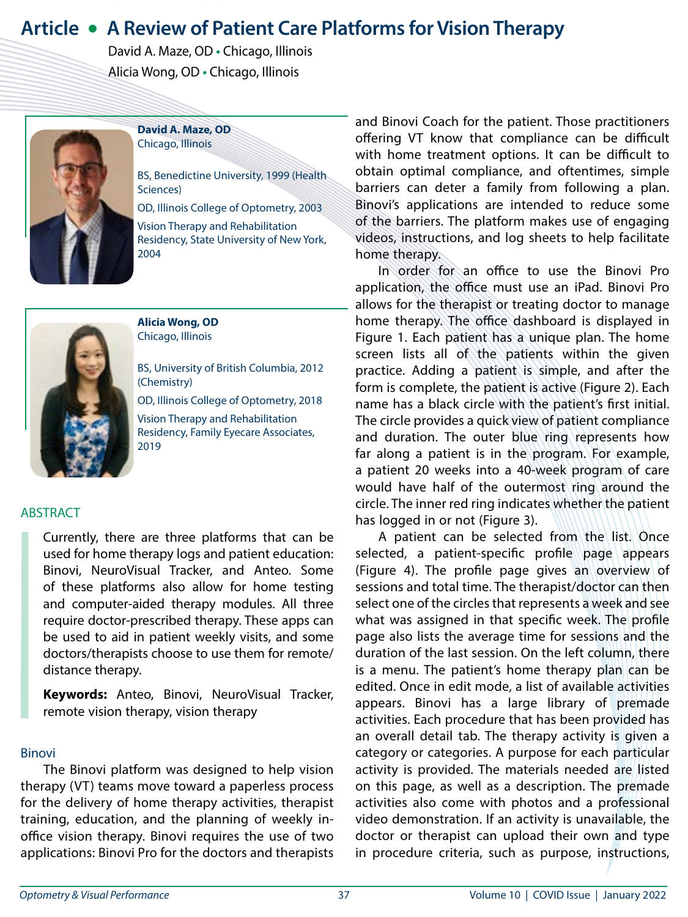# **Article • A Review of Patient Care Platforms for Vision Therapy**

 David A. Maze, OD **•** Chicago, Illinois Alicia Wong, OD **•** Chicago, Illinois



**David A. Maze, OD** Chicago, Illinois

BS, Benedictine University, 1999 (Health Sciences)

OD, Illinois College of Optometry, 2003

Vision Therapy and Rehabilitation Residency, State University of New York, 2004



**Alicia Wong, OD** Chicago, Illinois

BS, University of British Columbia, 2012 (Chemistry)

OD, Illinois College of Optometry, 2018

Vision Therapy and Rehabilitation Residency, Family Eyecare Associates, 2019

# **ABSTRACT**

Currently, there are three platforms that can be used for home therapy logs and patient education: Binovi, NeuroVisual Tracker, and Anteo. Some of these platforms also allow for home testing and computer-aided therapy modules. All three require doctor-prescribed therapy. These apps can be used to aid in patient weekly visits, and some doctors/therapists choose to use them for remote/ distance therapy.

**Keywords:** Anteo, Binovi, NeuroVisual Tracker, remote vision therapy, vision therapy

### Binovi

The Binovi platform was designed to help vision therapy (VT) teams move toward a paperless process for the delivery of home therapy activities, therapist training, education, and the planning of weekly inoffice vision therapy. Binovi requires the use of two applications: Binovi Pro for the doctors and therapists and Binovi Coach for the patient. Those practitioners offering VT know that compliance can be difficult with home treatment options. It can be difficult to obtain optimal compliance, and oftentimes, simple barriers can deter a family from following a plan. Binovi's applications are intended to reduce some of the barriers. The platform makes use of engaging videos, instructions, and log sheets to help facilitate home therapy.

In order for an office to use the Binovi Pro application, the office must use an iPad. Binovi Pro allows for the therapist or treating doctor to manage home therapy. The office dashboard is displayed in Figure 1. Each patient has a unique plan. The home screen lists all of the patients within the given practice. Adding a patient is simple, and after the form is complete, the patient is active (Figure 2). Each name has a black circle with the patient's first initial. The circle provides a quick view of patient compliance and duration. The outer blue ring represents how far along a patient is in the program. For example, a patient 20 weeks into a 40-week program of care would have half of the outermost ring around the circle. The inner red ring indicates whether the patient has logged in or not (Figure 3).

A patient can be selected from the list. Once selected, a patient-specific profile page appears (Figure 4). The profile page gives an overview of sessions and total time. The therapist/doctor can then select one of the circles that represents a week and see what was assigned in that specific week. The profile page also lists the average time for sessions and the duration of the last session. On the left column, there is a menu. The patient's home therapy plan can be edited. Once in edit mode, a list of available activities appears. Binovi has a large library of premade activities. Each procedure that has been provided has an overall detail tab. The therapy activity is given a category or categories. A purpose for each particular activity is provided. The materials needed are listed on this page, as well as a description. The premade activities also come with photos and a professional video demonstration. If an activity is unavailable, the doctor or therapist can upload their own and type in procedure criteria, such as purpose, instructions,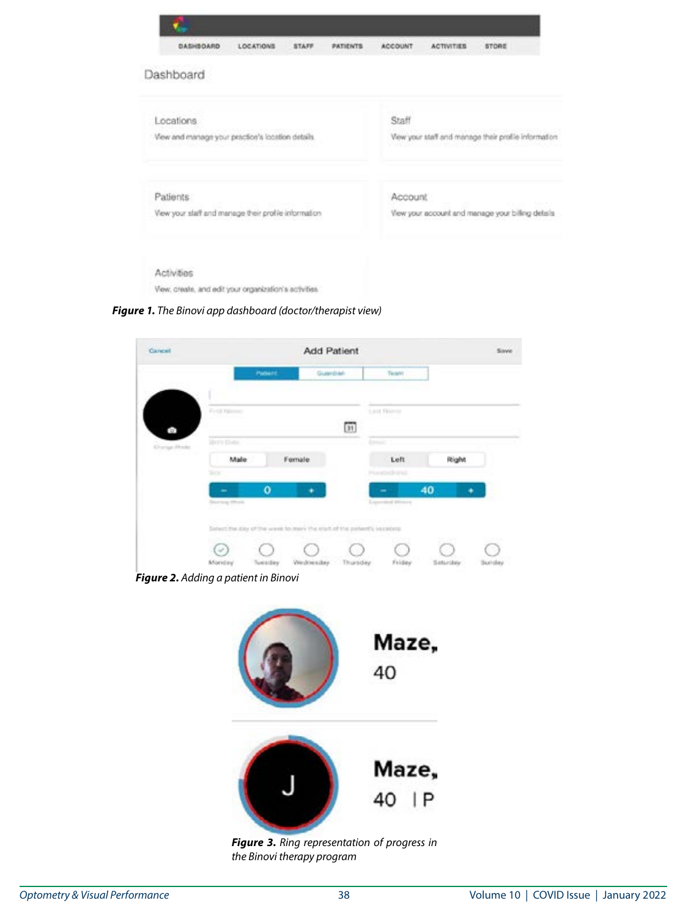| DASHBOARD<br>LOCATIONS<br>STAFF<br><b>PATIENTS</b>     |  |  | <b>ACCOUNT</b>                                     | <b>ACTIVITIES</b>                                                                            | <b>STORE</b> |  |
|--------------------------------------------------------|--|--|----------------------------------------------------|----------------------------------------------------------------------------------------------|--------------|--|
| Dashboard                                              |  |  |                                                    |                                                                                              |              |  |
| Locations                                              |  |  |                                                    | Staff                                                                                        |              |  |
| View and manage your practice's location details.      |  |  |                                                    | View your staff and manage their profile information<br>은 아이의 지금 어려울 것이었다고 말 맞았어. 일본 이동 이상이라 |              |  |
| Patients:                                              |  |  |                                                    | Account                                                                                      |              |  |
| View your staff and manage their profile information.  |  |  | View your account and manage your billing details. |                                                                                              |              |  |
| Activities                                             |  |  |                                                    |                                                                                              |              |  |
| View, create, and edit your organization's activities. |  |  |                                                    |                                                                                              |              |  |

*Figure 1. The Binovi app dashboard (doctor/therapist view)*

| Cancel       |                                                                                                                                                                                                 |          | Add Patient   |                                                |                                                |                        | Save                      |
|--------------|-------------------------------------------------------------------------------------------------------------------------------------------------------------------------------------------------|----------|---------------|------------------------------------------------|------------------------------------------------|------------------------|---------------------------|
|              |                                                                                                                                                                                                 | Patient. | Guardian.     |                                                | Team:                                          |                        |                           |
| ā            | First Home                                                                                                                                                                                      |          |               | <b>CONTRACTOR</b><br>$\overline{11}$           | 3.8-18 Florence                                |                        |                           |
| Ourse Prints | Marris Khotac<br>Male<br>Sign.                                                                                                                                                                  | Female   |               |                                                | <b>Element</b><br>Left<br><b>Handack Inst.</b> | Right                  |                           |
|              | <b>Starting Wright</b><br>7 M.A.                                                                                                                                                                | ۰        |               |                                                | <b>Experiment Where</b>                        | 40                     |                           |
|              | <b>CARD LAND AND PROVIDED AT A STATE OF A STATE OF A STATE OF A STATE OF A STATE OF A STATE OF A STATE OF A STATE</b><br>Select the day of the week to men the start of the perient's sessions: |          |               | Alfano el Multività de Bastilla III e i divita |                                                |                        |                           |
|              | Monday                                                                                                                                                                                          | Tuesday  | Verdriensbry. | Thursday                                       | Friday                                         | S.<br>SS 7<br>Seturday | oli Inla<br><b>Bunday</b> |

*Figure 2. Adding a patient in Binovi*



*Figure 3. Ring representation of progress in the Binovi therapy program*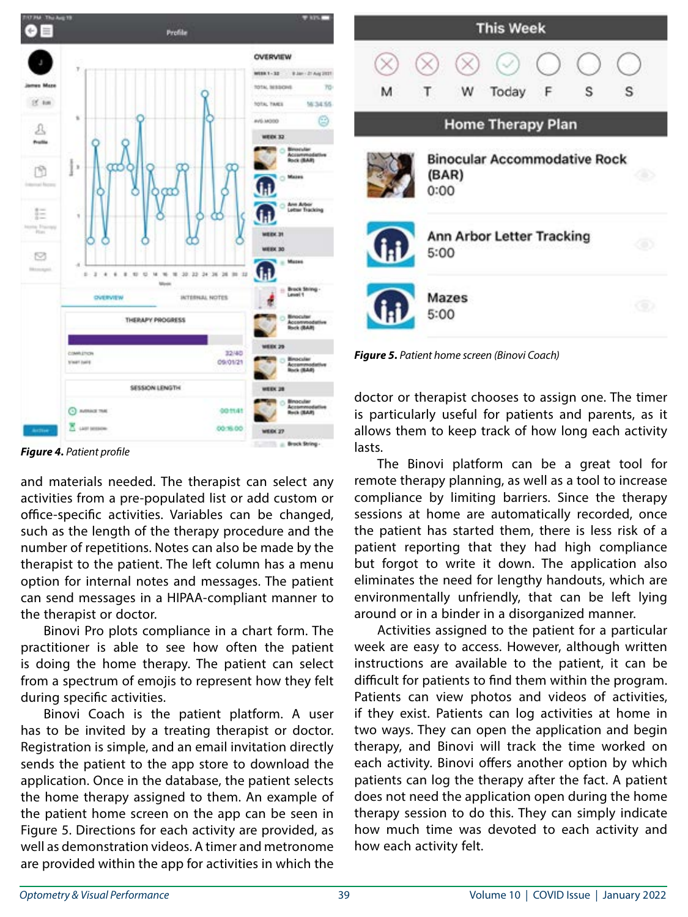

**This Week** S т S м Today **Home Therapy Plan Binocular Accommodative Rock** (BAR)  $0:00$ Ann Arbor Letter Tracking 5:00 Mazes 5:00

*Figure 5. Patient home screen (Binovi Coach)*

doctor or therapist chooses to assign one. The timer is particularly useful for patients and parents, as it allows them to keep track of how long each activity lasts.

The Binovi platform can be a great tool for remote therapy planning, as well as a tool to increase compliance by limiting barriers. Since the therapy sessions at home are automatically recorded, once the patient has started them, there is less risk of a patient reporting that they had high compliance but forgot to write it down. The application also eliminates the need for lengthy handouts, which are environmentally unfriendly, that can be left lying around or in a binder in a disorganized manner.

Activities assigned to the patient for a particular week are easy to access. However, although written instructions are available to the patient, it can be difficult for patients to find them within the program. Patients can view photos and videos of activities, if they exist. Patients can log activities at home in two ways. They can open the application and begin therapy, and Binovi will track the time worked on each activity. Binovi offers another option by which patients can log the therapy after the fact. A patient does not need the application open during the home therapy session to do this. They can simply indicate how much time was devoted to each activity and how each activity felt.

*Figure 4. Patient profile*

and materials needed. The therapist can select any activities from a pre-populated list or add custom or office-specific activities. Variables can be changed, such as the length of the therapy procedure and the number of repetitions. Notes can also be made by the therapist to the patient. The left column has a menu option for internal notes and messages. The patient can send messages in a HIPAA-compliant manner to the therapist or doctor.

Binovi Pro plots compliance in a chart form. The practitioner is able to see how often the patient is doing the home therapy. The patient can select from a spectrum of emojis to represent how they felt during specific activities.

Binovi Coach is the patient platform. A user has to be invited by a treating therapist or doctor. Registration is simple, and an email invitation directly sends the patient to the app store to download the application. Once in the database, the patient selects the home therapy assigned to them. An example of the patient home screen on the app can be seen in Figure 5. Directions for each activity are provided, as well as demonstration videos. A timer and metronome are provided within the app for activities in which the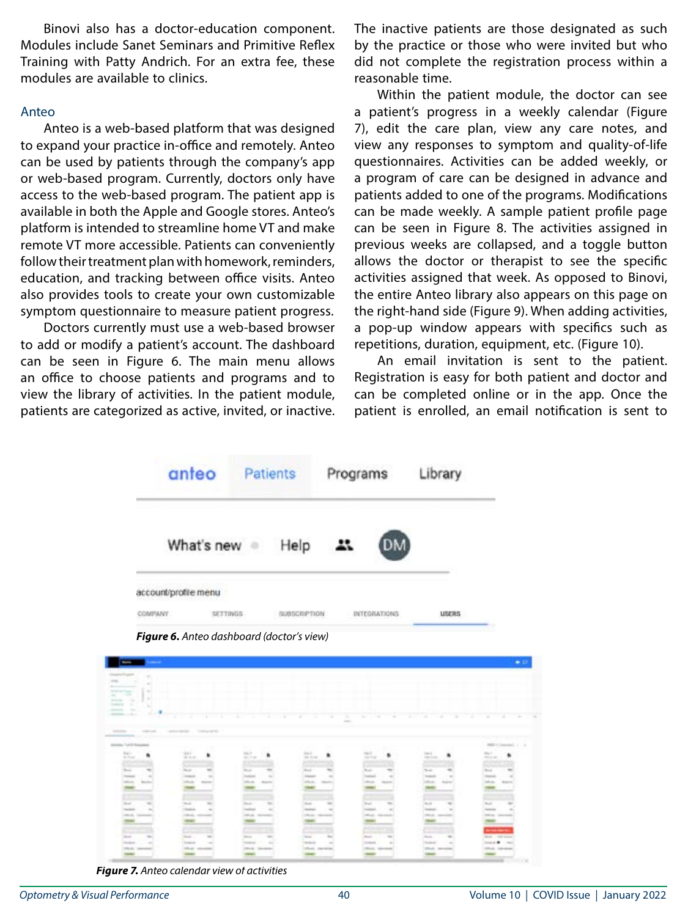Binovi also has a doctor-education component. Modules include Sanet Seminars and Primitive Reflex Training with Patty Andrich. For an extra fee, these modules are available to clinics.

## Anteo

Anteo is a web-based platform that was designed to expand your practice in-office and remotely. Anteo can be used by patients through the company's app or web-based program. Currently, doctors only have access to the web-based program. The patient app is available in both the Apple and Google stores. Anteo's platform is intended to streamline home VT and make remote VT more accessible. Patients can conveniently follow their treatment plan with homework, reminders, education, and tracking between office visits. Anteo also provides tools to create your own customizable symptom questionnaire to measure patient progress.

Doctors currently must use a web-based browser to add or modify a patient's account. The dashboard can be seen in Figure 6. The main menu allows an office to choose patients and programs and to view the library of activities. In the patient module, patients are categorized as active, invited, or inactive. The inactive patients are those designated as such by the practice or those who were invited but who did not complete the registration process within a reasonable time.

Within the patient module, the doctor can see a patient's progress in a weekly calendar (Figure 7), edit the care plan, view any care notes, and view any responses to symptom and quality-of-life questionnaires. Activities can be added weekly, or a program of care can be designed in advance and patients added to one of the programs. Modifications can be made weekly. A sample patient profile page can be seen in Figure 8. The activities assigned in previous weeks are collapsed, and a toggle button allows the doctor or therapist to see the specific activities assigned that week. As opposed to Binovi, the entire Anteo library also appears on this page on the right-hand side (Figure 9). When adding activities, a pop-up window appears with specifics such as repetitions, duration, equipment, etc. (Figure 10).

An email invitation is sent to the patient. Registration is easy for both patient and doctor and can be completed online or in the app. Once the patient is enrolled, an email notification is sent to



| <b>STAR</b><br>-<br>-<br><b>COLLEGE</b><br>÷<br><b>Service</b><br>÷ |                                   |                                    |                                                                                                                              |                             |                   |                                                                                                                                                                                                                                                                                                                                                             |
|---------------------------------------------------------------------|-----------------------------------|------------------------------------|------------------------------------------------------------------------------------------------------------------------------|-----------------------------|-------------------|-------------------------------------------------------------------------------------------------------------------------------------------------------------------------------------------------------------------------------------------------------------------------------------------------------------------------------------------------------------|
|                                                                     |                                   |                                    |                                                                                                                              |                             |                   |                                                                                                                                                                                                                                                                                                                                                             |
|                                                                     |                                   |                                    |                                                                                                                              |                             |                   |                                                                                                                                                                                                                                                                                                                                                             |
| <b>The Corporation</b><br>$1.1 - 0.0$<br>communication              | <b>Market Committee</b>           |                                    |                                                                                                                              |                             | The County of the |                                                                                                                                                                                                                                                                                                                                                             |
|                                                                     |                                   | the company of the property of the | the country of the country<br>$\frac{1}{2} \left( \frac{1}{2} \right) \left( \frac{1}{2} \right) \left( \frac{1}{2} \right)$ | -----                       | -<br>-            | $-1$<br>$\sim$                                                                                                                                                                                                                                                                                                                                              |
|                                                                     |                                   |                                    |                                                                                                                              |                             |                   |                                                                                                                                                                                                                                                                                                                                                             |
|                                                                     |                                   |                                    |                                                                                                                              |                             |                   |                                                                                                                                                                                                                                                                                                                                                             |
| <b>Address Tod St Soles</b>                                         |                                   |                                    |                                                                                                                              |                             |                   | WELL-Consumers 1 1 1                                                                                                                                                                                                                                                                                                                                        |
| $\frac{m(\gamma)}{m(\gamma)}$                                       |                                   | æ<br>pa.                           | $\frac{m+1}{m}$                                                                                                              | n<br>$\equiv$               |                   | $\frac{1}{2} \sum_{i=1}^n \frac{1}{2} \sum_{j=1}^n \frac{1}{2} \sum_{j=1}^n \frac{1}{2} \sum_{j=1}^n \frac{1}{2} \sum_{j=1}^n \frac{1}{2} \sum_{j=1}^n \frac{1}{2} \sum_{j=1}^n \frac{1}{2} \sum_{j=1}^n \frac{1}{2} \sum_{j=1}^n \frac{1}{2} \sum_{j=1}^n \frac{1}{2} \sum_{j=1}^n \frac{1}{2} \sum_{j=1}^n \frac{1}{2} \sum_{j=1}^n \frac{1}{2} \sum_{j=$ |
| ٠                                                                   | $\mathbb{H}_{\infty}$<br>٠        | ٠<br><b>Bally Program</b>          | ٠                                                                                                                            |                             | 쁘<br>٠            | ٠<br><b>COLLEGE</b>                                                                                                                                                                                                                                                                                                                                         |
|                                                                     |                                   |                                    |                                                                                                                              | ÷                           |                   | ٠                                                                                                                                                                                                                                                                                                                                                           |
| <b>South Inc.</b>                                                   | <b>Bush</b>                       | <b>Book</b>                        | <b>Board</b>                                                                                                                 | Total .                     | Toronto.          | <b>Book</b>                                                                                                                                                                                                                                                                                                                                                 |
|                                                                     |                                   |                                    |                                                                                                                              |                             |                   | nia a                                                                                                                                                                                                                                                                                                                                                       |
|                                                                     |                                   |                                    |                                                                                                                              |                             |                   |                                                                                                                                                                                                                                                                                                                                                             |
|                                                                     |                                   |                                    |                                                                                                                              |                             |                   |                                                                                                                                                                                                                                                                                                                                                             |
|                                                                     |                                   |                                    |                                                                                                                              |                             |                   |                                                                                                                                                                                                                                                                                                                                                             |
|                                                                     |                                   |                                    |                                                                                                                              |                             |                   |                                                                                                                                                                                                                                                                                                                                                             |
| <b>Single</b>                                                       | most in<br>--                     | $-$                                | <b>Senior</b>                                                                                                                | $\sim$<br><b>South Inc.</b> | To call           | <b>State</b>                                                                                                                                                                                                                                                                                                                                                |
|                                                                     | <b>STANDARD</b>                   | $-0.001$                           |                                                                                                                              |                             | -                 | <b>CONTRACTOR</b>                                                                                                                                                                                                                                                                                                                                           |
| ــ                                                                  |                                   |                                    | Division company                                                                                                             |                             | Dick carried<br>- |                                                                                                                                                                                                                                                                                                                                                             |
|                                                                     |                                   |                                    |                                                                                                                              |                             |                   | --                                                                                                                                                                                                                                                                                                                                                          |
|                                                                     |                                   |                                    |                                                                                                                              |                             |                   | ---                                                                                                                                                                                                                                                                                                                                                         |
| <b>State</b>                                                        | <b>Security</b>                   | $\sim$<br><b>South Inc.</b>        | <b>Security</b>                                                                                                              | The art                     | Toronto.          | West - THE ROOM                                                                                                                                                                                                                                                                                                                                             |
|                                                                     | <b>SALES</b><br><b>CONTRACTOR</b> |                                    | <b>The Ale of</b><br>Shed: Internet                                                                                          | <b>Talent</b>               | --<br>----        | <b><i><u>Send # Send</u></i></b><br><b>STAGE CANADA</b>                                                                                                                                                                                                                                                                                                     |

*Figure 7. Anteo calendar view of activities*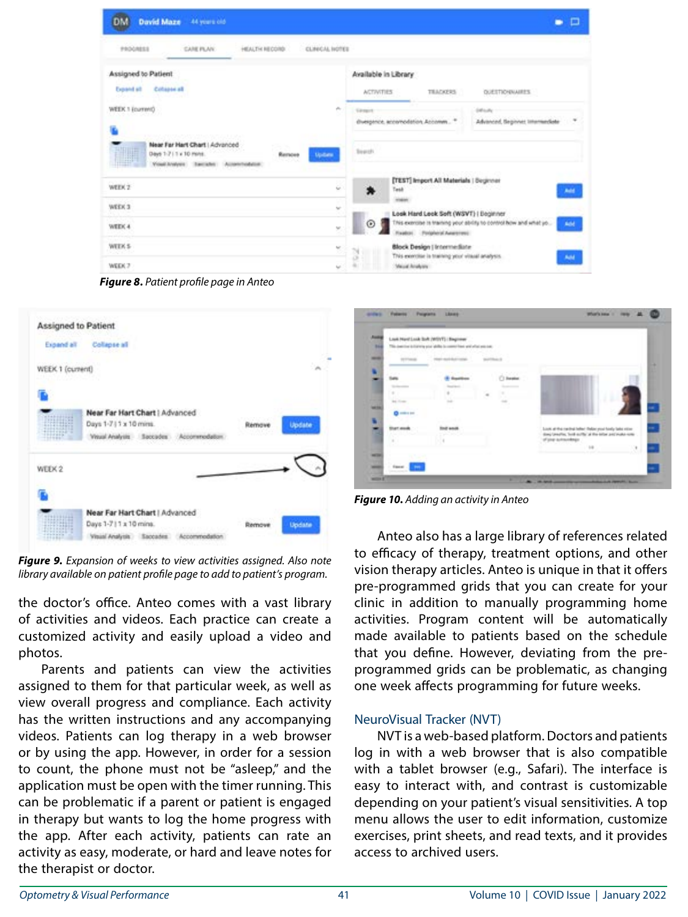| David Maze 44 years old<br>DM                                                                                           | о                                                                                                                                                               |
|-------------------------------------------------------------------------------------------------------------------------|-----------------------------------------------------------------------------------------------------------------------------------------------------------------|
| CLINICAL NOTES<br>PROGRESS<br>CARE PLAN:<br>HEALTH RECORD                                                               |                                                                                                                                                                 |
| Assigned to Patient<br><b>Dealers</b><br>Cotagos alt                                                                    | Available in Library<br><b>ACTIVITIES</b><br>TEACKERS:<br><b>OUESTICHRIARES</b>                                                                                 |
| WEEK 1 (current)                                                                                                        | <b>Inflants</b><br><b>Substance</b><br>Advanced, Beginnes Internanciate<br>divergence, accomodation, Accomm                                                     |
| Near Far Hart Chart   Advanced<br>Days 1-7   1 x 10 mins.<br>Remove<br>Update<br>Visal known : Baccallet : Accommodator | Swedi.                                                                                                                                                          |
| WEEK 2<br>$\sim$                                                                                                        | [TEST] Import All Materials   Segimeer<br>Task<br><b>Add</b><br><b>HOMES</b>                                                                                    |
| WEEK 3<br>w<br>WEEK 4<br>w.                                                                                             | Look Hard Look Soft (WSVT)   Beginner<br>This exercise is training your string to control how and what yo<br><b>Add</b><br>⊙<br>Fixadoxi, Polgherid Automotives |
| <b>WEEK S</b><br>뾩<br>98 C<br>WEEK 7                                                                                    | <b>Block Design   Intermediate</b><br>7d<br>This exercise is training your vitaal analysis.<br><b>Add</b><br>16<br><b>Majual Analysis</b>                       |

*Figure 8. Patient profile page in Anteo*



*Figure 9. Expansion of weeks to view activities assigned. Also note library available on patient profile page to add to patient's program.*

the doctor's office. Anteo comes with a vast library of activities and videos. Each practice can create a customized activity and easily upload a video and photos.

Parents and patients can view the activities assigned to them for that particular week, as well as view overall progress and compliance. Each activity has the written instructions and any accompanying videos. Patients can log therapy in a web browser or by using the app. However, in order for a session to count, the phone must not be "asleep," and the application must be open with the timer running. This can be problematic if a parent or patient is engaged in therapy but wants to log the home progress with the app. After each activity, patients can rate an activity as easy, moderate, or hard and leave notes for the therapist or doctor.



*Figure 10. Adding an activity in Anteo*

Anteo also has a large library of references related to efficacy of therapy, treatment options, and other vision therapy articles. Anteo is unique in that it offers pre-programmed grids that you can create for your clinic in addition to manually programming home activities. Program content will be automatically made available to patients based on the schedule that you define. However, deviating from the preprogrammed grids can be problematic, as changing one week affects programming for future weeks.

#### NeuroVisual Tracker (NVT)

NVT is a web-based platform. Doctors and patients log in with a web browser that is also compatible with a tablet browser (e.g., Safari). The interface is easy to interact with, and contrast is customizable depending on your patient's visual sensitivities. A top menu allows the user to edit information, customize exercises, print sheets, and read texts, and it provides access to archived users.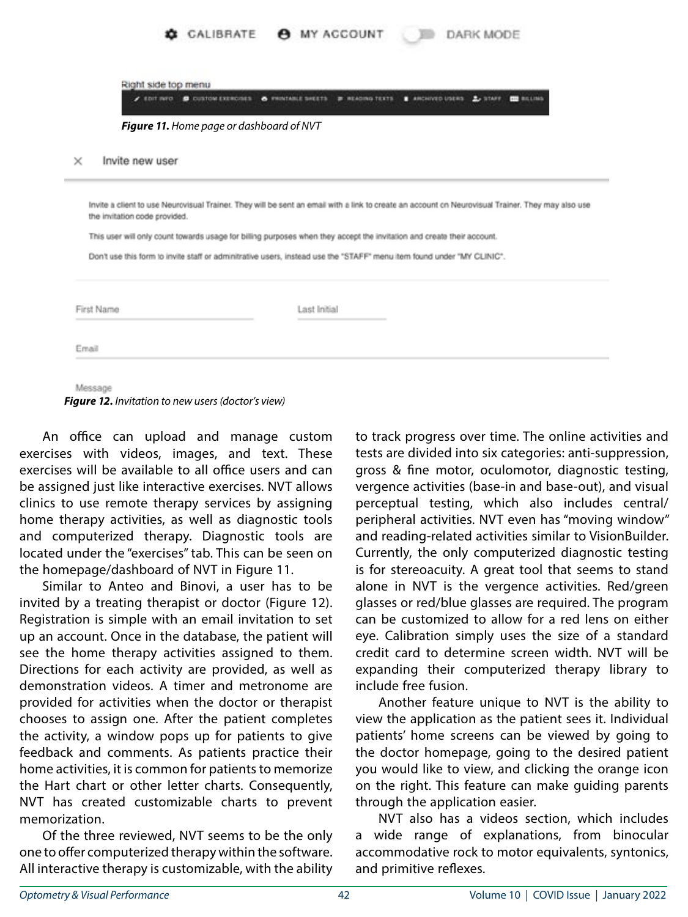|                                                                           | CALIBRATE <b>@</b> MY ACCOUNT                                                                                          | DARK MODE                                                                                                                                         |
|---------------------------------------------------------------------------|------------------------------------------------------------------------------------------------------------------------|---------------------------------------------------------------------------------------------------------------------------------------------------|
| Right side top menu<br>$\epsilon$ and ned $\blacksquare$ custom expected. | A FRINTABLE DIESTS<br><b>B READING TEXTS</b>                                                                           | <b>B</b> ARCHIVED USERS<br>2.52499<br><b>THE RIGHTSON</b>                                                                                         |
| Figure 11. Home page or dashboard of NVT                                  |                                                                                                                        |                                                                                                                                                   |
| Invite new user<br>$\times$                                               |                                                                                                                        |                                                                                                                                                   |
| the invitation code provided.                                             |                                                                                                                        | Invite a client to use Neurovisual Trainer. They will be sent an email with a link to create an account on Neurovisual Trainer. They may also use |
|                                                                           | This user will only count towards usage for billing purposes when they accept the invitation and create their account. |                                                                                                                                                   |
|                                                                           | Don't use this form to invite staff or adminitrative users, instead use the "STAFF" menu item found under "MY CLINIC". |                                                                                                                                                   |
| First Name                                                                | Last Initial                                                                                                           |                                                                                                                                                   |
| Email                                                                     |                                                                                                                        |                                                                                                                                                   |
|                                                                           |                                                                                                                        |                                                                                                                                                   |

Message

*Figure 12. Invitation to new users (doctor's view)*

An office can upload and manage custom exercises with videos, images, and text. These exercises will be available to all office users and can be assigned just like interactive exercises. NVT allows clinics to use remote therapy services by assigning home therapy activities, as well as diagnostic tools and computerized therapy. Diagnostic tools are located under the "exercises" tab. This can be seen on the homepage/dashboard of NVT in Figure 11.

Similar to Anteo and Binovi, a user has to be invited by a treating therapist or doctor (Figure 12). Registration is simple with an email invitation to set up an account. Once in the database, the patient will see the home therapy activities assigned to them. Directions for each activity are provided, as well as demonstration videos. A timer and metronome are provided for activities when the doctor or therapist chooses to assign one. After the patient completes the activity, a window pops up for patients to give feedback and comments. As patients practice their home activities, it is common for patients to memorize the Hart chart or other letter charts. Consequently, NVT has created customizable charts to prevent memorization.

Of the three reviewed, NVT seems to be the only one to offer computerized therapy within the software. All interactive therapy is customizable, with the ability to track progress over time. The online activities and tests are divided into six categories: anti-suppression, gross & fine motor, oculomotor, diagnostic testing, vergence activities (base-in and base-out), and visual perceptual testing, which also includes central/ peripheral activities. NVT even has "moving window" and reading-related activities similar to VisionBuilder. Currently, the only computerized diagnostic testing is for stereoacuity. A great tool that seems to stand alone in NVT is the vergence activities. Red/green glasses or red/blue glasses are required. The program can be customized to allow for a red lens on either eye. Calibration simply uses the size of a standard credit card to determine screen width. NVT will be expanding their computerized therapy library to include free fusion.

Another feature unique to NVT is the ability to view the application as the patient sees it. Individual patients' home screens can be viewed by going to the doctor homepage, going to the desired patient you would like to view, and clicking the orange icon on the right. This feature can make guiding parents through the application easier.

NVT also has a videos section, which includes a wide range of explanations, from binocular accommodative rock to motor equivalents, syntonics, and primitive reflexes.